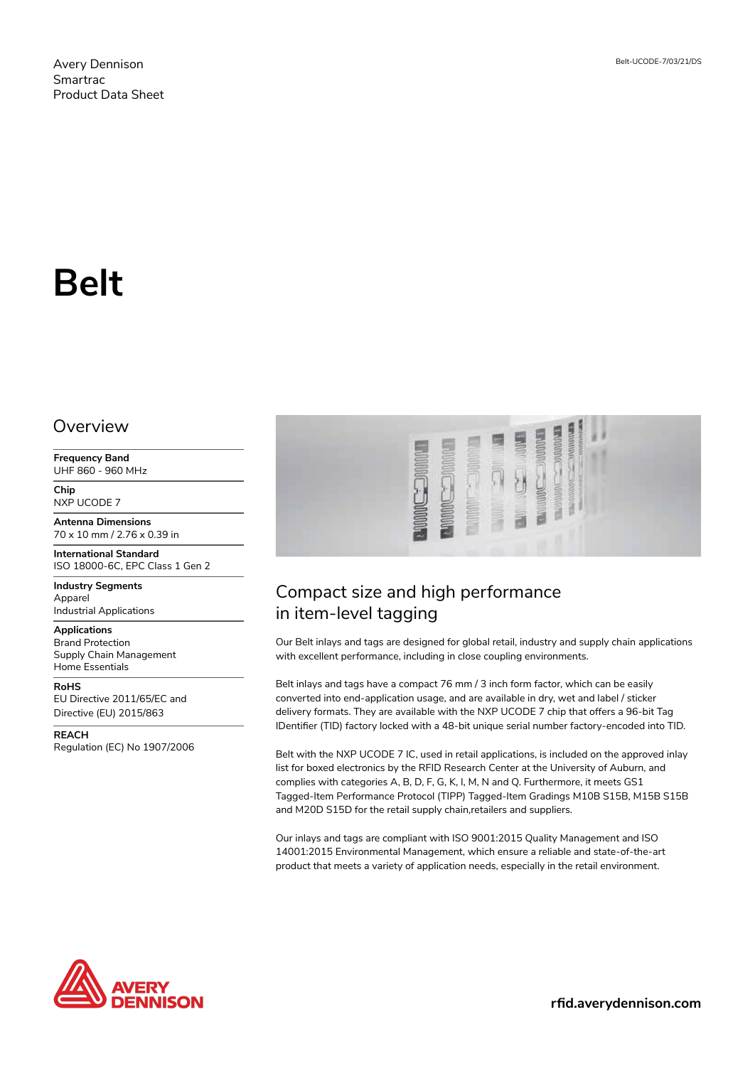# **Belt**

#### **Overview**

**Frequency Band** UHF 860 - 960 MHz

**Chip** NXP UCODE 7

**Antenna Dimensions** 70 x 10 mm / 2.76 x 0.39 in

**International Standard** ISO 18000-6C, EPC Class 1 Gen 2

**Industry Segments** Apparel Industrial Applications

**Applications** Brand Protection Supply Chain Management Home Essentials

**RoHS** EU Directive 2011/65/EC and

Directive (EU) 2015/863

**REACH** Regulation (EC) No 1907/2006



# Compact size and high performance in item-level tagging

Our Belt inlays and tags are designed for global retail, industry and supply chain applications with excellent performance, including in close coupling environments.

Belt inlays and tags have a compact 76 mm / 3 inch form factor, which can be easily converted into end-application usage, and are available in dry, wet and label / sticker delivery formats. They are available with the NXP UCODE 7 chip that offers a 96-bit Tag IDentifier (TID) factory locked with a 48-bit unique serial number factory-encoded into TID.

Belt with the NXP UCODE 7 IC, used in retail applications, is included on the approved inlay list for boxed electronics by the RFID Research Center at the University of Auburn, and complies with categories A, B, D, F, G, K, I, M, N and Q. Furthermore, it meets GS1 Tagged-Item Performance Protocol (TIPP) Tagged-Item Gradings M10B S15B, M15B S15B and M20D S15D for the retail supply chain,retailers and suppliers.

Our inlays and tags are compliant with ISO 9001:2015 Quality Management and ISO 14001:2015 Environmental Management, which ensure a reliable and state-of-the-art product that meets a variety of application needs, especially in the retail environment.